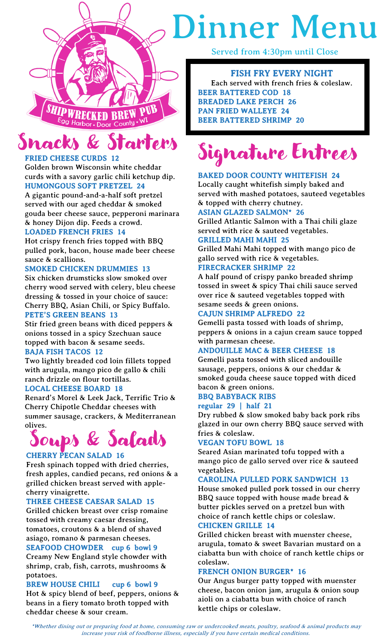

# Dinner Menu

Served from 4:30pm until Close

# FISH FRY EVERY NIGHT

Each served with french fries & coleslaw. BEER BATTERED COD 18 BREADED LAKE PERCH 26 PAN FRIED WALLEYE 24 BEER BATTERED SHRIMP 20

# arters

# FRIED CHEESE CURDS 12

Golden brown Wisconsin white cheddar curds with a savory garlic chili ketchup dip. HUMONGOUS SOFT PRETZEL 24

A gigantic pound-and-a-half soft pretzel served with our aged cheddar & smoked gouda beer cheese sauce, pepperoni marinara & honey Dijon dip. Feeds a crowd.

# LOADED FRENCH FRIES 14

Hot crispy french fries topped with BBQ pulled pork, bacon, house made beer cheese sauce & scallions.

# SMOKED CHICKEN DRUMMIES 13

Six chicken drumsticks slow smoked over cherry wood served with celery, bleu cheese dressing & tossed in your choice of sauce: Cherry BBQ, Asian Chili, or Spicy Buffalo.

# PETE'S GREEN BEANS 13

Stir fried green beans with diced peppers & onions tossed in a spicy Szechuan sauce topped with bacon & sesame seeds.

# BAJA FISH TACOS 12

Two lightly breaded cod loin fillets topped with arugula, mango pico de gallo & chili ranch drizzle on flour tortillas. LOCAL CHEESE BOARD 18

Renard's Morel & Leek Jack, Terrific Trio & Cherry Chipotle Cheddar cheeses with summer sausage, crackers, & Mediterranean

# olives. Soups & Salads

# CHERRY PECAN SALAD 16

Fresh spinach topped with dried cherries, fresh apples, candied pecans, red onions & a grilled chicken breast served with applecherry vinaigrette.

# THREE CHEESE CAESAR SALAD 15

Grilled chicken breast over crisp romaine tossed with creamy caesar dressing, tomatoes, croutons & a blend of shaved asiago, romano & parmesan cheeses.

# SEAFOOD CHOWDER cup 6 bowl 9

Creamy New England style chowder with shrimp, crab, fish, carrots, mushrooms & potatoes.

# BREW HOUSE CHILI cup 6 bowl 9

Hot & spicy blend of beef, peppers, onions & beans in a fiery tomato broth topped with cheddar cheese & sour cream.

#### Ι ٦  $\overline{\phantom{a}}$ Signature Entrees

# BAKED DOOR COUNTY WHITEFISH 24

Locally caught whitefish simply baked and served with mashed potatoes, sauteed vegetables & topped with cherry chutney.

# ASIAN GLAZED SALMON\* 26

ı

Grilled Atlantic Salmon with a Thai chili glaze served with rice & sauteed vegetables.

# GRILLED MAHI MAHI 25

Grilled Mahi Mahi topped with mango pico de gallo served with rice & vegetables.

# FIRECRACKER SHRIMP 22

A half pound of crispy panko breaded shrimp tossed in sweet & spicy Thai chili sauce served over rice & sauteed vegetables topped with sesame seeds & green onions.

# CAJUN SHRIMP ALFREDO 22

Gemelli pasta tossed with loads of shrimp, peppers & onions in a cajun cream sauce topped with parmesan cheese.

# ANDOUILLE MAC & BEER CHEESE 18

Gemelli pasta tossed with sliced andouille sausage, peppers, onions & our cheddar & smoked gouda cheese sauce topped with diced bacon & green onions.

#### BBQ BABYBACK RIBS regular 29 | half 21

Dry rubbed & slow smoked baby back pork ribs glazed in our own cherry BBQ sauce served with fries & coleslaw.

# VEGAN TOFU BOWL 18

Seared Asian marinated tofu topped with a mango pico de gallo served over rice & sauteed vegetables.

# CAROLINA PULLED PORK SANDWICH 13

House smoked pulled pork tossed in our cherry BBQ sauce topped with house made bread & butter pickles served on a pretzel bun with choice of ranch kettle chips or coleslaw. CHICKEN GRILLE 14

Grilled chicken breast with muenster cheese, arugula, tomato & sweet Bavarian mustard on a ciabatta bun with choice of ranch kettle chips or coleslaw.

# FRENCH ONION BURGER\* 16

Our Angus burger patty topped with muenster cheese, bacon onion jam, arugula & onion soup aioli on a ciabatta bun with choice of ranch kettle chips or coleslaw.

\*Whether dining out or preparing food at home, consuming raw or undercooked meats, poultry, seafood & animal products may increase your risk of foodborne illness, especially if you have certain medical conditions.